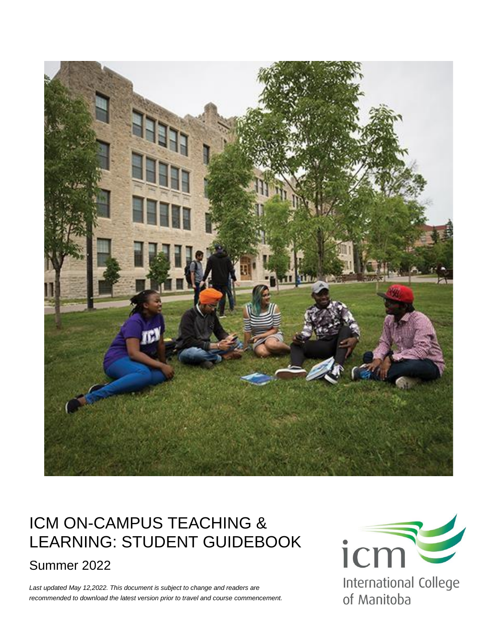

## ICM ON-CAMPUS TEACHING & LEARNING: STUDENT GUIDEBOOK Summer 2022

*Last updated May 12,2022. This document is subject to change and readers are recommended to download the latest version prior to travel and course commencement.*

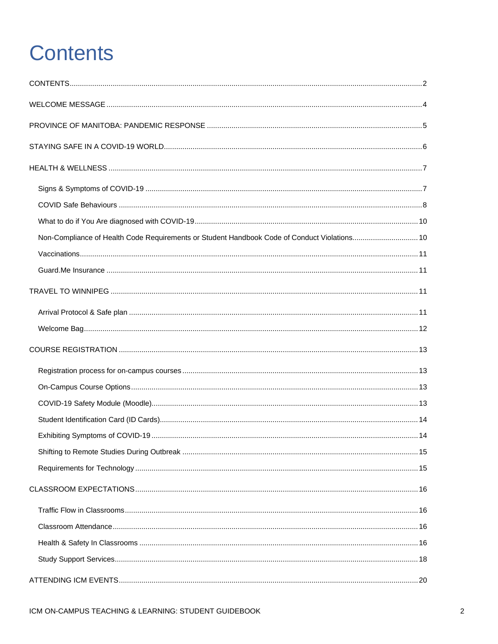# <span id="page-1-0"></span>**Contents**

| Non-Compliance of Health Code Requirements or Student Handbook Code of Conduct Violations 10 |  |
|----------------------------------------------------------------------------------------------|--|
|                                                                                              |  |
|                                                                                              |  |
|                                                                                              |  |
|                                                                                              |  |
|                                                                                              |  |
|                                                                                              |  |
|                                                                                              |  |
|                                                                                              |  |
|                                                                                              |  |
|                                                                                              |  |
|                                                                                              |  |
|                                                                                              |  |
|                                                                                              |  |
|                                                                                              |  |
|                                                                                              |  |
|                                                                                              |  |
|                                                                                              |  |
|                                                                                              |  |
|                                                                                              |  |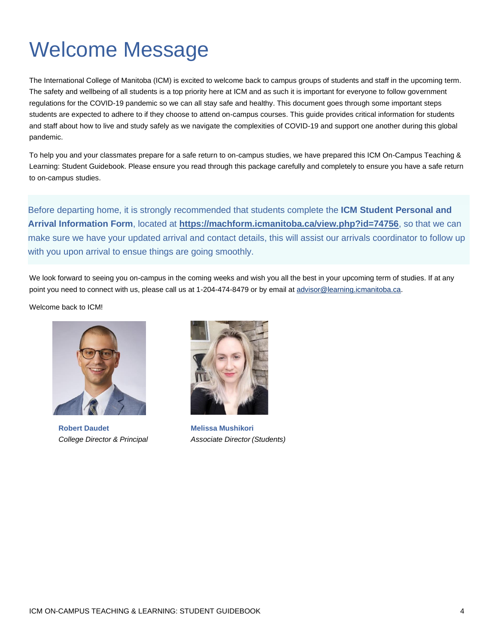## <span id="page-3-0"></span>Welcome Message

The International College of Manitoba (ICM) is excited to welcome back to campus groups of students and staff in the upcoming term. The safety and wellbeing of all students is a top priority here at ICM and as such it is important for everyone to follow government regulations for the COVID-19 pandemic so we can all stay safe and healthy. This document goes through some important steps students are expected to adhere to if they choose to attend on-campus courses. This guide provides critical information for students and staff about how to live and study safely as we navigate the complexities of COVID-19 and support one another during this global pandemic.

To help you and your classmates prepare for a safe return to on-campus studies, we have prepared this ICM On-Campus Teaching & Learning: Student Guidebook. Please ensure you read through this package carefully and completely to ensure you have a safe return to on-campus studies.

Before departing home, it is strongly recommended that students complete the **ICM Student Personal and Arrival Information Form**, located at **<https://machform.icmanitoba.ca/view.php?id=74756>**, so that we can make sure we have your updated arrival and contact details, this will assist our arrivals coordinator to follow up with you upon arrival to ensue things are going smoothly.

We look forward to seeing you on-campus in the coming weeks and wish you all the best in your upcoming term of studies. If at any point you need to connect with us, please call us at 1-204-474-8479 or by email a[t advisor@learning.icmanitoba.ca.](mailto:advisor@learning.icmanitoba.ca)

Welcome back to ICM!



**Robert Daudet Melissa Mushikori**



*College Director & Principal Associate Director (Students)*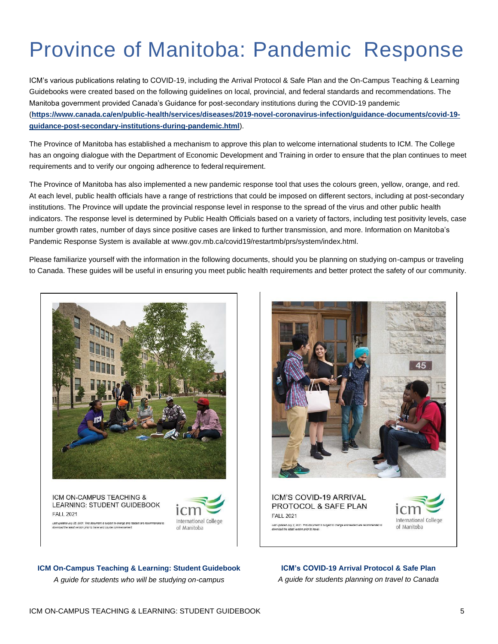# <span id="page-4-0"></span>Province of Manitoba: Pandemic Response

ICM's various publications relating to COVID-19, including the Arrival Protocol & Safe Plan and the On-Campus Teaching & Learning Guidebooks were created based on the following guidelines on local, provincial, and federal standards and recommendations. The Manitoba government provided Canada's Guidance for post-secondary institutions during the COVID-19 pandemic (**[https://www.canada.ca/en/public-health/services/diseases/2019-novel-coronavirus-infection/guidance-documents/covid-19](https://www.canada.ca/en/public-health/services/diseases/2019-novel-coronavirus-infection/guidance-documents/covid-19-guidance-post-secondary-institutions-during-pandemic.html) [guidance-post-secondary-institutions-during-pandemic.html](https://www.canada.ca/en/public-health/services/diseases/2019-novel-coronavirus-infection/guidance-documents/covid-19-guidance-post-secondary-institutions-during-pandemic.html)**).

The Province of Manitoba has established a mechanism to approve this plan to welcome international students to ICM. The College has an ongoing dialogue with the Department of Economic Development and Training in order to ensure that the plan continues to meet requirements and to verify our ongoing adherence to federal requirement.

The Province of Manitoba has also implemented a new pandemic response tool that uses the colours green, yellow, orange, and red. At each level, public health officials have a range of restrictions that could be imposed on different sectors, including at post-secondary institutions. The Province will update the provincial response level in response to the spread of the virus and other public health indicators. The response level is determined by Public Health Officials based on a variety of factors, including test positivity levels, case number growth rates, number of days since positive cases are linked to further transmission, and more. Information on Manitoba's Pandemic Response System is available at www.gov.mb.ca/covid19/restartmb/prs/system/index.html.

Please familiarize yourself with the information in the following documents, should you be planning on studying on-campus or traveling to Canada. These guides will be useful in ensuring you meet public health requirements and better protect the safety of our community.



ICM ON-CAMPUS TEACHING & LEARNING: STUDENT GUIDEBOOK **FALL 2021** Last updated July 20, 2021. This document is subject to change and reaversion prior to travel and course come





ICM'S COVID-19 ARRIVAL PROTOCOL & SAFE PLAN **FALL 2021** Last updated July 2, 2021. This document is subject to change and readers are recom<br>download the latest version prior to travel.



**ICM On-Campus Teaching & Learning: Student Guidebook**

*A guide for students who will be studying on-campus*

**ICM's COVID-19 Arrival Protocol & Safe Plan** *A guide for students planning on travel to Canada*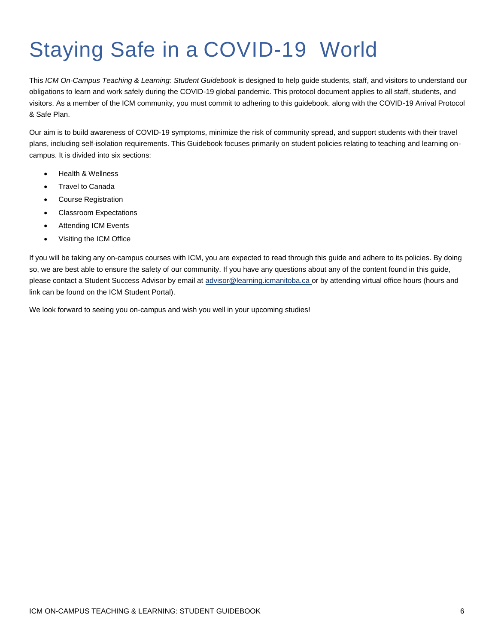# <span id="page-5-0"></span>Staying Safe in a COVID-19 World

This *ICM On-Campus Teaching & Learning: Student Guidebook* is designed to help guide students, staff, and visitors to understand our obligations to learn and work safely during the COVID-19 global pandemic. This protocol document applies to all staff, students, and visitors. As a member of the ICM community, you must commit to adhering to this guidebook, along with the COVID-19 Arrival Protocol & Safe Plan.

Our aim is to build awareness of COVID-19 symptoms, minimize the risk of community spread, and support students with their travel plans, including self-isolation requirements. This Guidebook focuses primarily on student policies relating to teaching and learning oncampus. It is divided into six sections:

- Health & Wellness
- **Travel to Canada**
- Course Registration
- Classroom Expectations
- **Attending ICM Events**
- Visiting the ICM Office

If you will be taking any on-campus courses with ICM, you are expected to read through this guide and adhere to its policies. By doing so, we are best able to ensure the safety of our community. If you have any questions about any of the content found in this guide, please contact a Student Success Advisor by email at [advisor@learning.icmanitoba.ca o](mailto:advisor@learning.icmanitoba.ca)r by attending virtual office hours (hours and link can be found on the ICM Student Portal).

We look forward to seeing you on-campus and wish you well in your upcoming studies!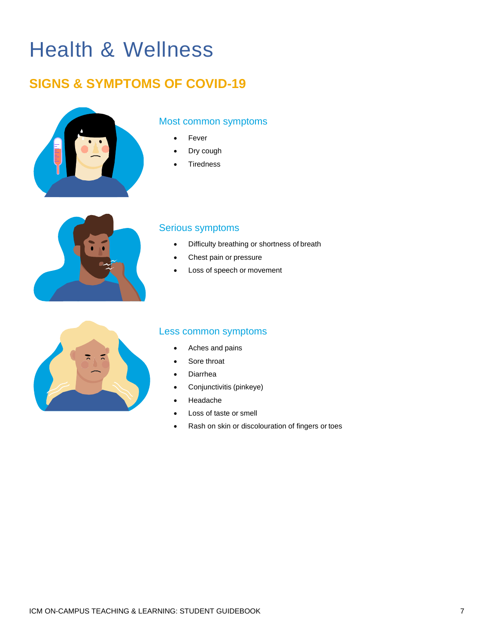## <span id="page-6-0"></span>Health & Wellness

### <span id="page-6-1"></span>**SIGNS & SYMPTOMS OF COVID-19**



#### Most common symptoms

- **Fever**
- Dry cough
- **Tiredness**



#### Serious symptoms

- Difficulty breathing or shortness of breath
- Chest pain or pressure
- Loss of speech or movement



#### Less common symptoms

- Aches and pains
- Sore throat
- **Diarrhea**
- Conjunctivitis (pinkeye)
- Headache
- Loss of taste or smell
- Rash on skin or discolouration of fingers or toes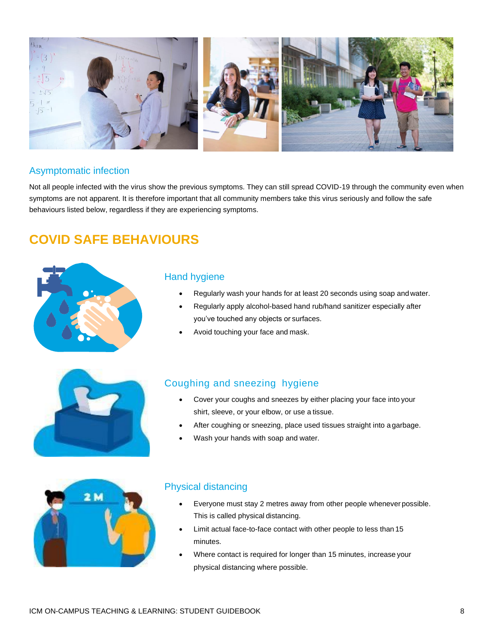

#### Asymptomatic infection

Not all people infected with the virus show the previous symptoms. They can still spread COVID-19 through the community even when symptoms are not apparent. It is therefore important that all community members take this virus seriously and follow the safe behaviours listed below, regardless if they are experiencing symptoms.

### <span id="page-7-0"></span>**COVID SAFE BEHAVIOURS**



#### Hand hygiene

- Regularly wash your hands for at least 20 seconds using soap andwater.
- Regularly apply alcohol-based hand rub/hand sanitizer especially after you've touched any objects or surfaces.
- Avoid touching your face and mask.



#### Coughing and sneezing hygiene

- Cover your coughs and sneezes by either placing your face into your shirt, sleeve, or your elbow, or use a tissue.
- After coughing or sneezing, place used tissues straight into a garbage.
- Wash your hands with soap and water.



#### Physical distancing

- Everyone must stay 2 metres away from other people whenever possible. This is called physical distancing.
- Limit actual face-to-face contact with other people to less than 15 minutes.
- Where contact is required for longer than 15 minutes, increase your physical distancing where possible.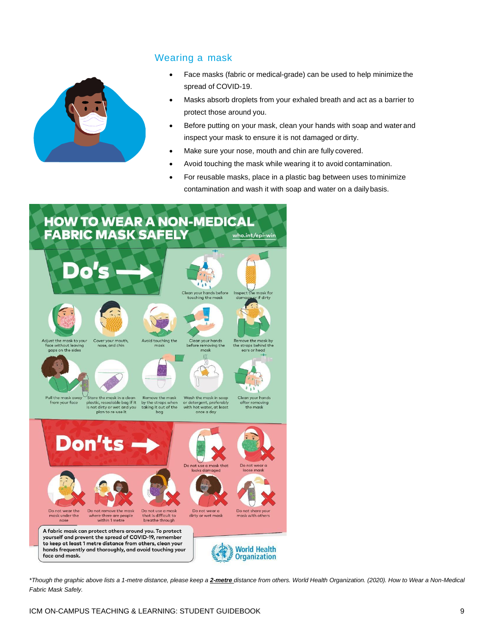#### Wearing a mask



- Face masks (fabric or medical-grade) can be used to help minimize the spread of COVID-19.
- Masks absorb droplets from your exhaled breath and act as a barrier to protect those around you.
- Before putting on your mask, clean your hands with soap and water and inspect your mask to ensure it is not damaged or dirty.
- Make sure your nose, mouth and chin are fully covered.
- Avoid touching the mask while wearing it to avoid contamination.
- For reusable masks, place in a plastic bag between uses to minimize contamination and wash it with soap and water on a dailybasis.



\*Though the graphic above lists a 1-metre distance, please keep a 2-metre distance from others. World Health Organization. (2020). How to Wear a Non-Medical *Fabric Mask Safely.*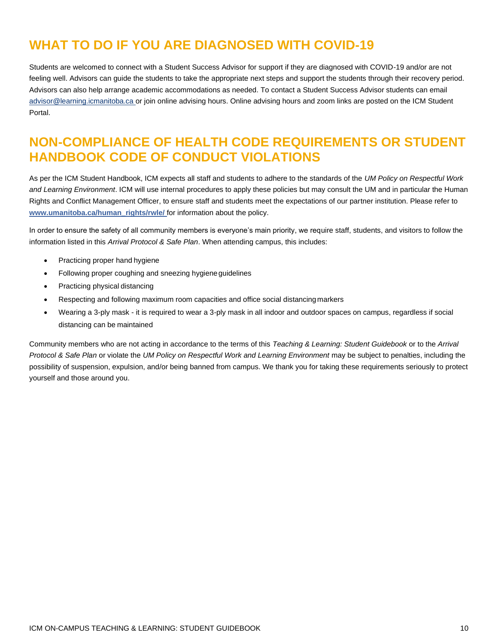### <span id="page-9-0"></span>**WHAT TO DO IF YOU ARE DIAGNOSED WITH COVID-19**

Students are welcomed to connect with a Student Success Advisor for support if they are diagnosed with COVID-19 and/or are not feeling well. Advisors can guide the students to take the appropriate next steps and support the students through their recovery period. Advisors can also help arrange academic accommodations as needed. To contact a Student Success Advisor students can email [advisor@learning.icmanitoba.ca o](mailto:advisor@learning.icmanitoba.ca)r join online advising hours. Online advising hours and zoom links are posted on the ICM Student Portal.

### <span id="page-9-1"></span>**NON-COMPLIANCE OF HEALTH CODE REQUIREMENTS OR STUDENT HANDBOOK CODE OF CONDUCT VIOLATIONS**

As per the ICM Student Handbook, ICM expects all staff and students to adhere to the standards of the *UM Policy on Respectful Work and Learning Environment*. ICM will use internal procedures to apply these policies but may consult the UM and in particular the Human Rights and Conflict Management Officer, to ensure staff and students meet the expectations of our partner institution. Please refer to **[www.umanitoba.ca/human\\_rights/rwle/](http://www.umanitoba.ca/human_rights/rwle/)** for information about the policy.

In order to ensure the safety of all community members is everyone's main priority, we require staff, students, and visitors to follow the information listed in this *Arrival Protocol & Safe Plan*. When attending campus, this includes:

- Practicing proper hand hygiene
- Following proper coughing and sneezing hygieneguidelines
- Practicing physical distancing
- Respecting and following maximum room capacities and office social distancingmarkers
- Wearing a 3-ply mask it is required to wear a 3-ply mask in all indoor and outdoor spaces on campus, regardless if social distancing can be maintained

Community members who are not acting in accordance to the terms of this *Teaching & Learning: Student Guidebook* or to the *Arrival Protocol & Safe Plan or violate the UM Policy on Respectful Work and Learning Environment may be subject to penalties, including the* possibility of suspension, expulsion, and/or being banned from campus. We thank you for taking these requirements seriously to protect yourself and those around you.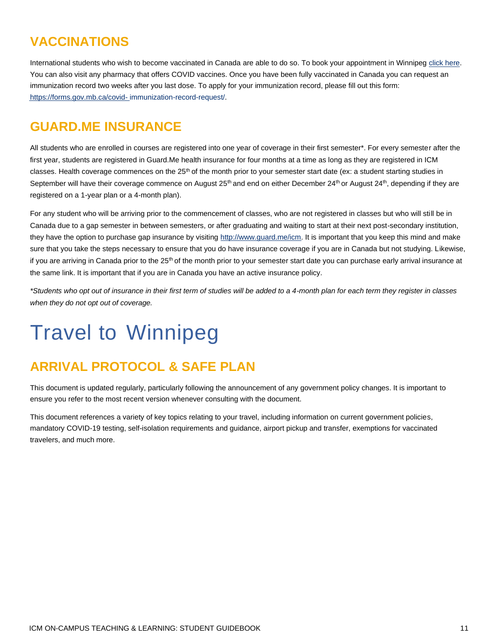### <span id="page-10-0"></span>**VACCINATIONS**

International students who wish to become vaccinated in Canada are able to do so. To book your appointment in Winnipeg [click here.](https://protectmb.ca/making-your-appointment-is-easy/) You can also visit any pharmacy that offers COVID vaccines. Once you have been fully vaccinated in Canada you can request an immunization record two weeks after you last dose. To apply for your immunization record, please fill out this form: [https://forms.gov.mb.ca/covid-](https://forms.gov.mb.ca/covid-immunization-record-request/) [immunization-record-request/.](https://forms.gov.mb.ca/covid-immunization-record-request/)

### <span id="page-10-1"></span>**GUARD.ME INSURANCE**

All students who are enrolled in courses are registered into one year of coverage in their first semester\*. For every semester after the first year, students are registered in Guard.Me health insurance for four months at a time as long as they are registered in ICM classes. Health coverage commences on the  $25<sup>th</sup>$  of the month prior to your semester start date (ex: a student starting studies in September will have their coverage commence on August  $25<sup>th</sup>$  and end on either December  $24<sup>th</sup>$  or August  $24<sup>th</sup>$ , depending if they are registered on a 1-year plan or a 4-month plan).

For any student who will be arriving prior to the commencement of classes, who are not registered in classes but who will still be in Canada due to a gap semester in between semesters, or after graduating and waiting to start at their next post-secondary institution, they have the option to purchase gap insurance by visiting [http://www.guard.me/icm.](http://www.guard.me/icm) It is important that you keep this mind and make sure that you take the steps necessary to ensure that you do have insurance coverage if you are in Canada but not studying. Likewise, if you are arriving in Canada prior to the 25<sup>th</sup> of the month prior to your semester start date you can purchase early arrival insurance at the same link. It is important that if you are in Canada you have an active insurance policy.

*\*Students who opt out of insurance in their first term of studies will be added to a 4-month plan for each term they register in classes when they do not opt out of coverage.*

## <span id="page-10-2"></span>Travel to Winnipeg

### <span id="page-10-3"></span>**ARRIVAL PROTOCOL & SAFE PLAN**

This document is updated regularly, particularly following the announcement of any government policy changes. It is important to ensure you refer to the most recent version whenever consulting with the document.

<span id="page-10-4"></span>This document references a variety of key topics relating to your travel, including information on current government policies, mandatory COVID-19 testing, self-isolation requirements and guidance, airport pickup and transfer, exemptions for vaccinated travelers, and much more.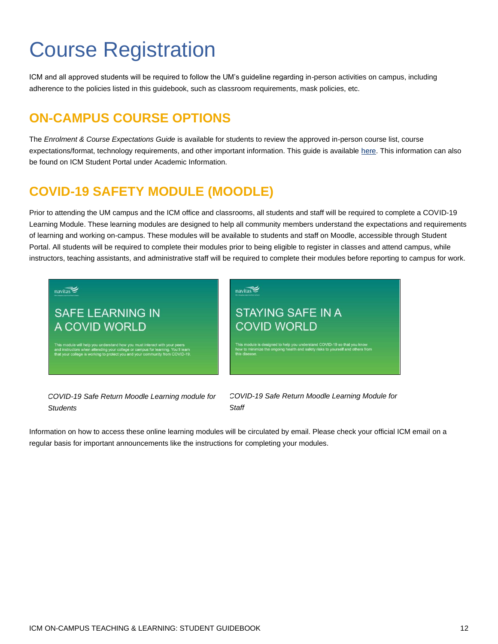## <span id="page-11-0"></span>Course Registration

<span id="page-11-1"></span>ICM and all approved students will be required to follow the UM's guideline regarding in-person activities on campus, including adherence to the policies listed in this guidebook, such as classroom requirements, mask policies, etc.

### <span id="page-11-2"></span>**ON-CAMPUS COURSE OPTIONS**

The *Enrolment & Course Expectations Guide* is available for students to review the approved in-person course list, course expectations/format, technology requirements, and other important information. This guide is available [here.](https://machform.icmanitoba.ca/view.php?id=184756) This information can also be found on ICM Student Portal under Academic Information.

### <span id="page-11-3"></span>**COVID-19 SAFETY MODULE (MOODLE)**

Prior to attending the UM campus and the ICM office and classrooms, all students and staff will be required to complete a COVID-19 Learning Module. These learning modules are designed to help all community members understand the expectations and requirements of learning and working on-campus. These modules will be available to students and staff on Moodle, accessible through Student Portal. All students will be required to complete their modules prior to being eligible to register in classes and attend campus, while instructors, teaching assistants, and administrative staff will be required to complete their modules before reporting to campus for work.



*COVID-19 Safe Return Moodle Learning module for Students*

*COVID-19 Safe Return Moodle Learning Module for Staff*

Information on how to access these online learning modules will be circulated by email. Please check your official ICM email on a regular basis for important announcements like the instructions for completing your modules.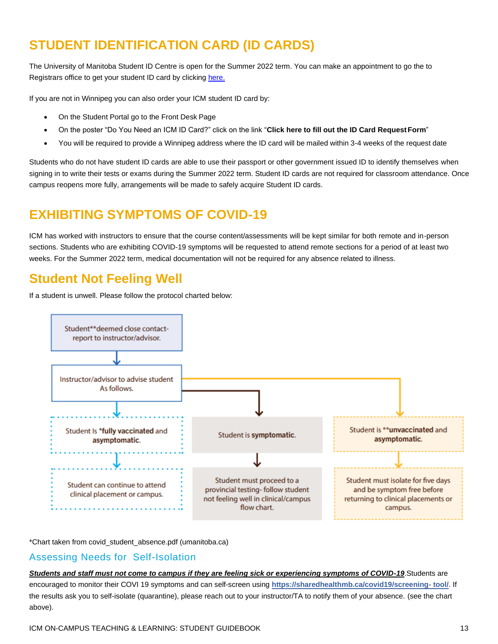### <span id="page-12-0"></span>**STUDENT IDENTIFICATION CARD (ID CARDS)**

The University of Manitoba Student ID Centre is open for the Summer 2022 term. You can make an appointment to go the to Registrars office to get your student ID card by clicking [here.](https://3608.waitwell.ca/)

If you are not in Winnipeg you can also order your ICM student ID card by:

- On the Student Portal go to the Front Desk Page
- On the poster "Do You Need an ICM ID Card?" click on the link "**Click here to fill out the ID Card RequestForm**"
- You will be required to provide a Winnipeg address where the ID card will be mailed within 3-4 weeks of the request date

Students who do not have student ID cards are able to use their passport or other government issued ID to identify themselves when signing in to write their tests or exams during the Summer 2022 term. Student ID cards are not required for classroom attendance. Once campus reopens more fully, arrangements will be made to safely acquire Student ID cards.

### <span id="page-12-1"></span>**EXHIBITING SYMPTOMS OF COVID-19**

ICM has worked with instructors to ensure that the course content/assessments will be kept similar for both remote and in-person sections. Students who are exhibiting COVID-19 symptoms will be requested to attend remote sections for a period of at least two weeks. For the Summer 2022 term, medical documentation will not be required for any absence related to illness.

### **Student Not Feeling Well**

If a student is unwell. Please follow the protocol charted below:



\*Chart taken from [covid\\_student\\_absence.pdf \(umanitoba.ca\)](https://umanitoba.ca/sites/default/files/2022-01/covid_student_absence.pdf)

#### Assessing Needs for Self-Isolation

*Students and staff must not come to campus if they are feeling sick or experiencing symptoms of COVID-19*.Students are encouraged to monitor their COVI 19 symptoms and can self-screen using **[https://sharedhealthmb.ca/covid19/screening-](https://sharedhealthmb.ca/covid19/screening-tool/) [tool/](https://sharedhealthmb.ca/covid19/screening-tool/)**. If the results ask you to self-isolate (quarantine), please reach out to your instructor/TA to notify them of your absence. (see the chart above).

ICM ON-CAMPUS TEACHING & LEARNING: STUDENT GUIDEBOOK 13 AND 13 AND 13 AND 13 AND 13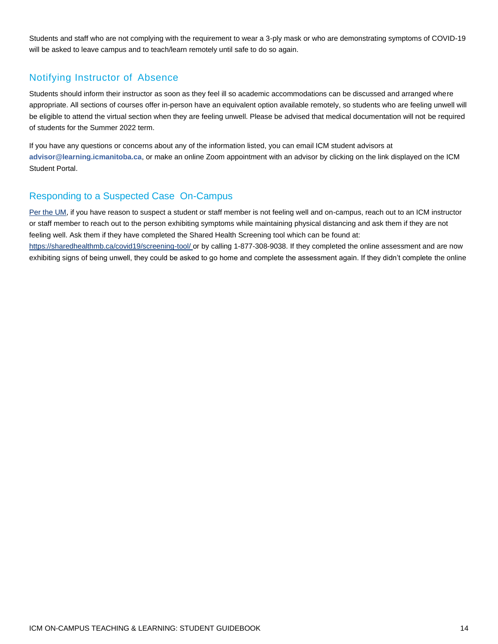Students and staff who are not complying with the requirement to wear a 3-ply mask or who are demonstrating symptoms of COVID-19 will be asked to leave campus and to teach/learn remotely until safe to do so again.

### Notifying Instructor of Absence

Students should inform their instructor as soon as they feel ill so academic accommodations can be discussed and arranged where appropriate. All sections of courses offer in-person have an equivalent option available remotely, so students who are feeling unwell will be eligible to attend the virtual section when they are feeling unwell. Please be advised that medical documentation will not be required of students for the Summer 2022 term.

If you have any questions or concerns about any of the information listed, you can email ICM student advisors at **[advisor@learning.icmanitoba.ca](mailto:advisor@learning.icmanitoba.ca)**, or make an online Zoom appointment with an advisor by clicking on the link displayed on the ICM Student Portal.

### Responding to a Suspected Case On-Campus

[Per the UM,](https://umanitoba.ca/coronavirus/staff-faculty-researchers) if you have reason to suspect a student or staff member is not feeling well and on-campus, reach out to an ICM instructor or staff member to reach out to the person exhibiting symptoms while maintaining physical distancing and ask them if they are not feeling well. Ask them if they have completed the Shared Health Screening tool which can be found at: [https://sharedhealthmb.ca/covid19/screening-tool/ o](https://sharedhealthmb.ca/covid19/screening-tool/)r by calling 1-877-308-9038. If they completed the online assessment and are now exhibiting signs of being unwell, they could be asked to go home and complete the assessment again. If they didn't complete the online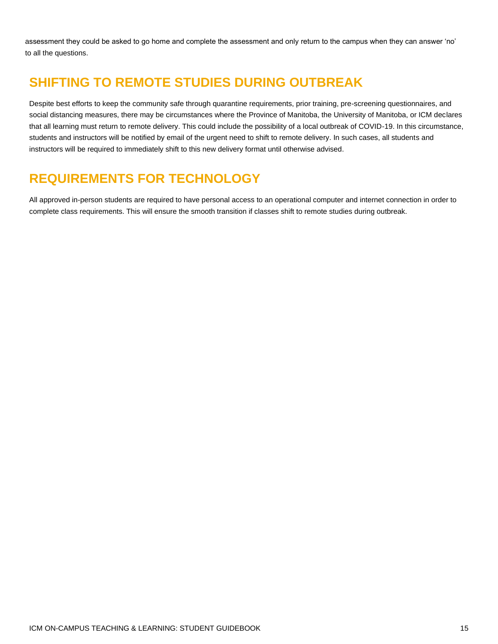assessment they could be asked to go home and complete the assessment and only return to the campus when they can answer 'no' to all the questions.

### <span id="page-14-0"></span>**SHIFTING TO REMOTE STUDIES DURING OUTBREAK**

Despite best efforts to keep the community safe through quarantine requirements, prior training, pre-screening questionnaires, and social distancing measures, there may be circumstances where the Province of Manitoba, the University of Manitoba, or ICM declares that all learning must return to remote delivery. This could include the possibility of a local outbreak of COVID-19. In this circumstance, students and instructors will be notified by email of the urgent need to shift to remote delivery. In such cases, all students and instructors will be required to immediately shift to this new delivery format until otherwise advised.

### <span id="page-14-1"></span>**REQUIREMENTS FOR TECHNOLOGY**

All approved in-person students are required to have personal access to an operational computer and internet connection in order to complete class requirements. This will ensure the smooth transition if classes shift to remote studies during outbreak.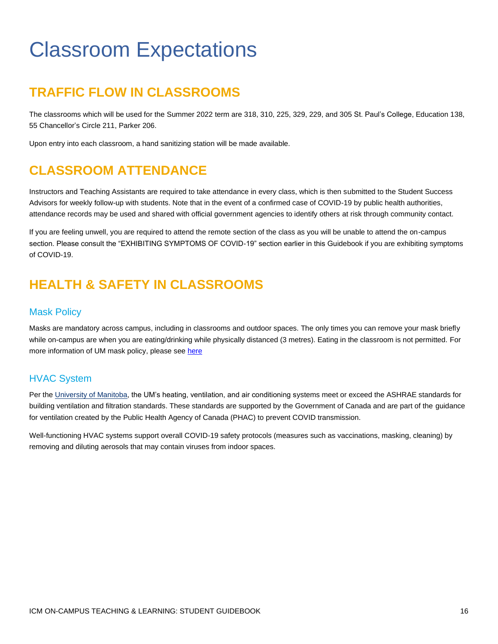## <span id="page-15-0"></span>Classroom Expectations

### <span id="page-15-1"></span>**TRAFFIC FLOW IN CLASSROOMS**

The classrooms which will be used for the Summer 2022 term are 318, 310, 225, 329, 229, and 305 St. Paul's College, Education 138, 55 Chancellor's Circle 211, Parker 206.

Upon entry into each classroom, a hand sanitizing station will be made available.

### <span id="page-15-2"></span>**CLASSROOM ATTENDANCE**

Instructors and Teaching Assistants are required to take attendance in every class, which is then submitted to the Student Success Advisors for weekly follow-up with students. Note that in the event of a confirmed case of COVID-19 by public health authorities, attendance records may be used and shared with official government agencies to identify others at risk through community contact.

If you are feeling unwell, you are required to attend the remote section of the class as you will be unable to attend the on-campus section. Please consult the "EXHIBITING SYMPTOMS OF COVID-19" section earlier in this Guidebook if you are exhibiting symptoms of COVID-19.

### <span id="page-15-3"></span>**HEALTH & SAFETY IN CLASSROOMS**

#### Mask Policy

Masks are mandatory across campus, including in classrooms and outdoor spaces. The only times you can remove your mask briefly while on-campus are when you are eating/drinking while physically distanced (3 metres). Eating in the classroom is not permitted. For more information of UM mask policy, please se[e here](https://umanitoba.ca/covid-19/health-safety#mask-use)

### HVAC System

Per th[e University of Manitoba,](https://news.umanitoba.ca/hvac-at-um/) the UM's heating, ventilation, and air conditioning systems meet or exceed the ASHRAE standards for building ventilation and filtration standards. These standards are supported by the Government of Canada and are part of the guidance for ventilation created by the Public Health Agency of Canada (PHAC) to prevent COVID transmission.

Well-functioning HVAC systems support overall COVID-19 safety protocols (measures such as vaccinations, masking, cleaning) by removing and diluting aerosols that may contain viruses from indoor spaces.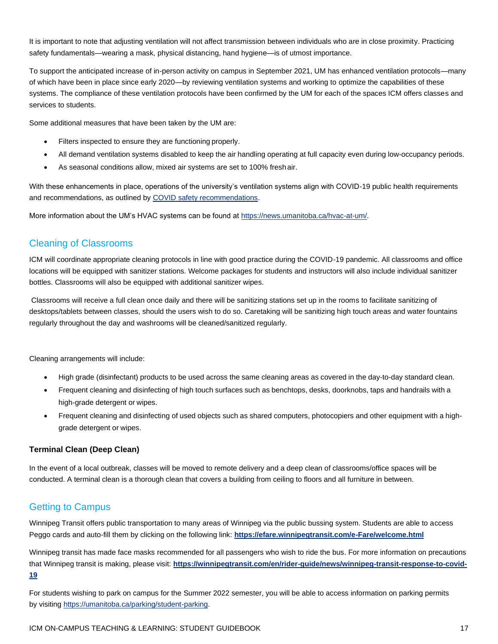It is important to note that adjusting ventilation will not affect transmission between individuals who are in close proximity. Practicing safety fundamentals—wearing a mask, physical distancing, hand hygiene—is of utmost importance.

To support the anticipated increase of in-person activity on campus in September 2021, UM has enhanced ventilation protocols—many of which have been in place since early 2020—by reviewing ventilation systems and working to optimize the capabilities of these systems. The compliance of these ventilation protocols have been confirmed by the UM for each of the spaces ICM offers classes and services to students.

Some additional measures that have been taken by the UM are:

- Filters inspected to ensure they are functioning properly.
- All demand ventilation systems disabled to keep the air handling operating at full capacity even during low-occupancy periods.
- As seasonal conditions allow, mixed air systems are set to 100% fresh air.

With these enhancements in place, operations of the university's ventilation systems align with COVID-19 public health requirements and recommendations, as outlined by [COVID safety recommendations.](https://www.canada.ca/en/public-health/services/diseases/2019-novel-coronavirus-infection/guidance-documents/guide-indoor-ventilation-covid-19-pandemic.html)

More information about the UM's HVAC systems can be found at [https://news.umanitoba.ca/hvac-at-um/.](https://news.umanitoba.ca/hvac-at-um/)

#### Cleaning of Classrooms

ICM will coordinate appropriate cleaning protocols in line with good practice during the COVID-19 pandemic. All classrooms and office locations will be equipped with sanitizer stations. Welcome packages for students and instructors will also include individual sanitizer bottles. Classrooms will also be equipped with additional sanitizer wipes.

Classrooms will receive a full clean once daily and there will be sanitizing stations set up in the rooms to facilitate sanitizing of desktops/tablets between classes, should the users wish to do so. Caretaking will be sanitizing high touch areas and water fountains regularly throughout the day and washrooms will be cleaned/sanitized regularly.

Cleaning arrangements will include:

- High grade (disinfectant) products to be used across the same cleaning areas as covered in the day-to-day standard clean.
- Frequent cleaning and disinfecting of high touch surfaces such as benchtops, desks, doorknobs, taps and handrails with a high-grade detergent or wipes.
- Frequent cleaning and disinfecting of used objects such as shared computers, photocopiers and other equipment with a highgrade detergent or wipes.

#### **Terminal Clean (Deep Clean)**

In the event of a local outbreak, classes will be moved to remote delivery and a deep clean of classrooms/office spaces will be conducted. A terminal clean is a thorough clean that covers a building from ceiling to floors and all furniture in between.

#### Getting to Campus

Winnipeg Transit offers public transportation to many areas of Winnipeg via the public bussing system. Students are able to access Peggo cards and auto-fill them by clicking on the following link: **<https://efare.winnipegtransit.com/e-Fare/welcome.html>**

Winnipeg transit has made face masks recommended for all passengers who wish to ride the bus. For more information on precautions that Winnipeg transit is making, please visit: **[https://winnipegtransit.com/en/rider-guide/news/winnipeg-transit-response-to-covid-](https://winnipegtransit.com/en/rider-guide/news/winnipeg-transit-response-to-covid-19)[19](https://winnipegtransit.com/en/rider-guide/news/winnipeg-transit-response-to-covid-19)**

For students wishing to park on campus for the Summer 2022 semester, you will be able to access information on parking permits by visiting [https://umanitoba.ca/parking/student-parking.](https://umanitoba.ca/parking/student-parking)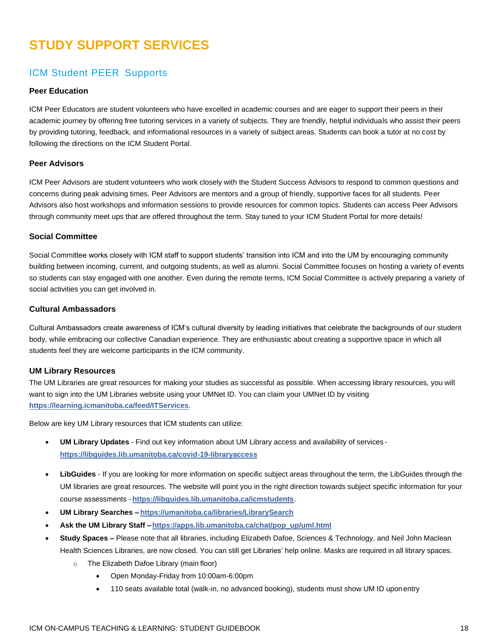### <span id="page-17-0"></span>**STUDY SUPPORT SERVICES**

### ICM Student PEER Supports

#### **Peer Education**

ICM Peer Educators are student volunteers who have excelled in academic courses and are eager to support their peers in their academic journey by offering free tutoring services in a variety of subjects. They are friendly, helpful individuals who assist their peers by providing tutoring, feedback, and informational resources in a variety of subject areas. Students can book a tutor at no cost by following the directions on the ICM Student Portal.

#### **Peer Advisors**

ICM Peer Advisors are student volunteers who work closely with the Student Success Advisors to respond to common questions and concerns during peak advising times. Peer Advisors are mentors and a group of friendly, supportive faces for all students. Peer Advisors also host workshops and information sessions to provide resources for common topics. Students can access Peer Advisors through community meet ups that are offered throughout the term. Stay tuned to your ICM Student Portal for more details!

#### **Social Committee**

Social Committee works closely with ICM staff to support students' transition into ICM and into the UM by encouraging community building between incoming, current, and outgoing students, as well as alumni. Social Committee focuses on hosting a variety of events so students can stay engaged with one another. Even during the remote terms, ICM Social Committee is actively preparing a variety of social activities you can get involved in.

#### **Cultural Ambassadors**

Cultural Ambassadors create awareness of ICM's cultural diversity by leading initiatives that celebrate the backgrounds of our student body, while embracing our collective Canadian experience. They are enthusiastic about creating a supportive space in which all students feel they are welcome participants in the ICM community.

#### **UM Library Resources**

The UM Libraries are great resources for making your studies as successful as possible. When accessing library resources, you will want to sign into the UM Libraries website using your UMNet ID. You can claim your UMNet ID by visiting **<https://learning.icmanitoba.ca/feed/ITServices>**.

Below are key UM Library resources that ICM students can utilize:

- **UM Library Updates**  Find out key information about UM Library access and availability of services **<https://libguides.lib.umanitoba.ca/covid-19-libraryaccess>**
- **LibGuides**  If you are looking for more information on specific subject areas throughout the term, the LibGuides through the UM libraries are great resources. The website will point you in the right direction towards subject specific information for your course assessments - **<https://libguides.lib.umanitoba.ca/icmstudents>**.
- **UM Library Searches – <https://umanitoba.ca/libraries/LibrarySearch>**
- **Ask the UM Library Staff [–https://apps.lib.umanitoba.ca/chat/pop\\_up/uml.html](https://apps.lib.umanitoba.ca/chat/pop_up/uml.html)**
- **Study Spaces –** Please note that all libraries, including Elizabeth Dafoe, Sciences & Technology, and Neil John Maclean Health Sciences Libraries, are now closed. You can still get Libraries' help online. Masks are required in all library spaces.
	- o The Elizabeth Dafoe Library (main floor)
		- Open Monday-Friday from 10:00am-6:00pm
		- 110 seats available total (walk-in, no advanced booking), students must show UM ID uponentry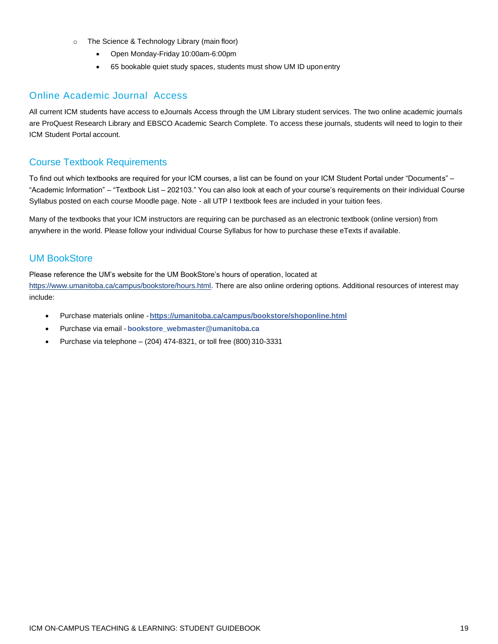- o The Science & Technology Library (main floor)
	- Open Monday-Friday 10:00am-6:00pm
	- 65 bookable quiet study spaces, students must show UM ID upon entry

#### Online Academic Journal Access

All current ICM students have access to eJournals Access through the UM Library student services. The two online academic journals are ProQuest Research Library and EBSCO Academic Search Complete. To access these journals, students will need to login to their ICM Student Portal account.

### Course Textbook Requirements

To find out which textbooks are required for your ICM courses, a list can be found on your ICM Student Portal under "Documents" – "Academic Information" – "Textbook List – 202103." You can also look at each of your course's requirements on their individual Course Syllabus posted on each course Moodle page. Note - all UTP I textbook fees are included in your tuition fees.

Many of the textbooks that your ICM instructors are requiring can be purchased as an electronic textbook (online version) from anywhere in the world. Please follow your individual Course Syllabus for how to purchase these eTexts if available.

### UM BookStore

Please reference the UM's website for the UM BookStore's hours of operation, located at

[https://www.umanitoba.ca/campus/bookstore/hours.html.](https://www.umanitoba.ca/campus/bookstore/hours.html) There are also online ordering options. Additional resources of interest may include:

- Purchase materials online -**<https://umanitoba.ca/campus/bookstore/shoponline.html>**
- Purchase via email **[bookstore\\_webmaster@umanitoba.ca](mailto:bookstore_webmaster@umanitoba.ca)**
- Purchase via telephone (204) 474-8321, or toll free (800) 310-3331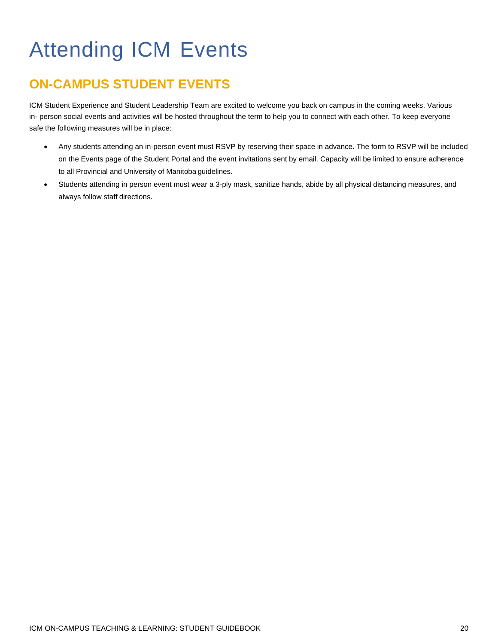# <span id="page-19-0"></span>Attending ICM Events

### <span id="page-19-2"></span><span id="page-19-1"></span>**ON-CAMPUS STUDENT EVENTS**

ICM Student Experience and Student Leadership Team are excited to welcome you back on campus in the coming weeks. Various in- person social events and activities will be hosted throughout the term to help you to connect with each other. To keep everyone safe the following measures will be in place:

- Any students attending an in-person event must RSVP by reserving their space in advance. The form to RSVP will be included on the Events page of the Student Portal and the event invitations sent by email. Capacity will be limited to ensure adherence to all Provincial and University of Manitoba guidelines.
- Students attending in person event must wear a 3-ply mask, sanitize hands, abide by all physical distancing measures, and always follow staff directions.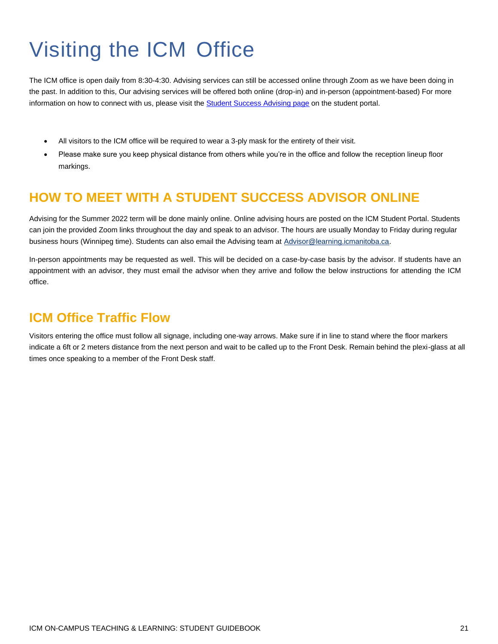# <span id="page-20-0"></span>Visiting the ICM Office

The ICM office is open daily from 8:30-4:30. Advising services can still be accessed online through Zoom as we have been doing in the past. In addition to this, Our advising services will be offered both online (drop-in) and in-person (appointment-based) For more information on how to connect with us, please visit th[e Student Success Advising page](https://learning.icmanitoba.ca/feed/StudentSuccessAdvising) on the student portal.

- All visitors to the ICM office will be required to wear a 3-ply mask for the entirety of their visit.
- Please make sure you keep physical distance from others while you're in the office and follow the reception lineup floor markings.

### <span id="page-20-1"></span>**HOW TO MEET WITH A STUDENT SUCCESS ADVISOR ONLINE**

Advising for the Summer 2022 term will be done mainly online. Online advising hours are posted on the ICM Student Portal. Students can join the provided Zoom links throughout the day and speak to an advisor. The hours are usually Monday to Friday during regular business hours (Winnipeg time). Students can also email the Advising team at [Advisor@learning.icmanitoba.ca.](mailto:Advisor@learning.icmanitoba.ca)

<span id="page-20-2"></span>In-person appointments may be requested as well. This will be decided on a case-by-case basis by the advisor. If students have an appointment with an advisor, they must email the advisor when they arrive and follow the below instructions for attending the ICM office.

### **ICM Office Traffic Flow**

Visitors entering the office must follow all signage, including one-way arrows. Make sure if in line to stand where the floor markers indicate a 6ft or 2 meters distance from the next person and wait to be called up to the Front Desk. Remain behind the plexi-glass at all times once speaking to a member of the Front Desk staff.